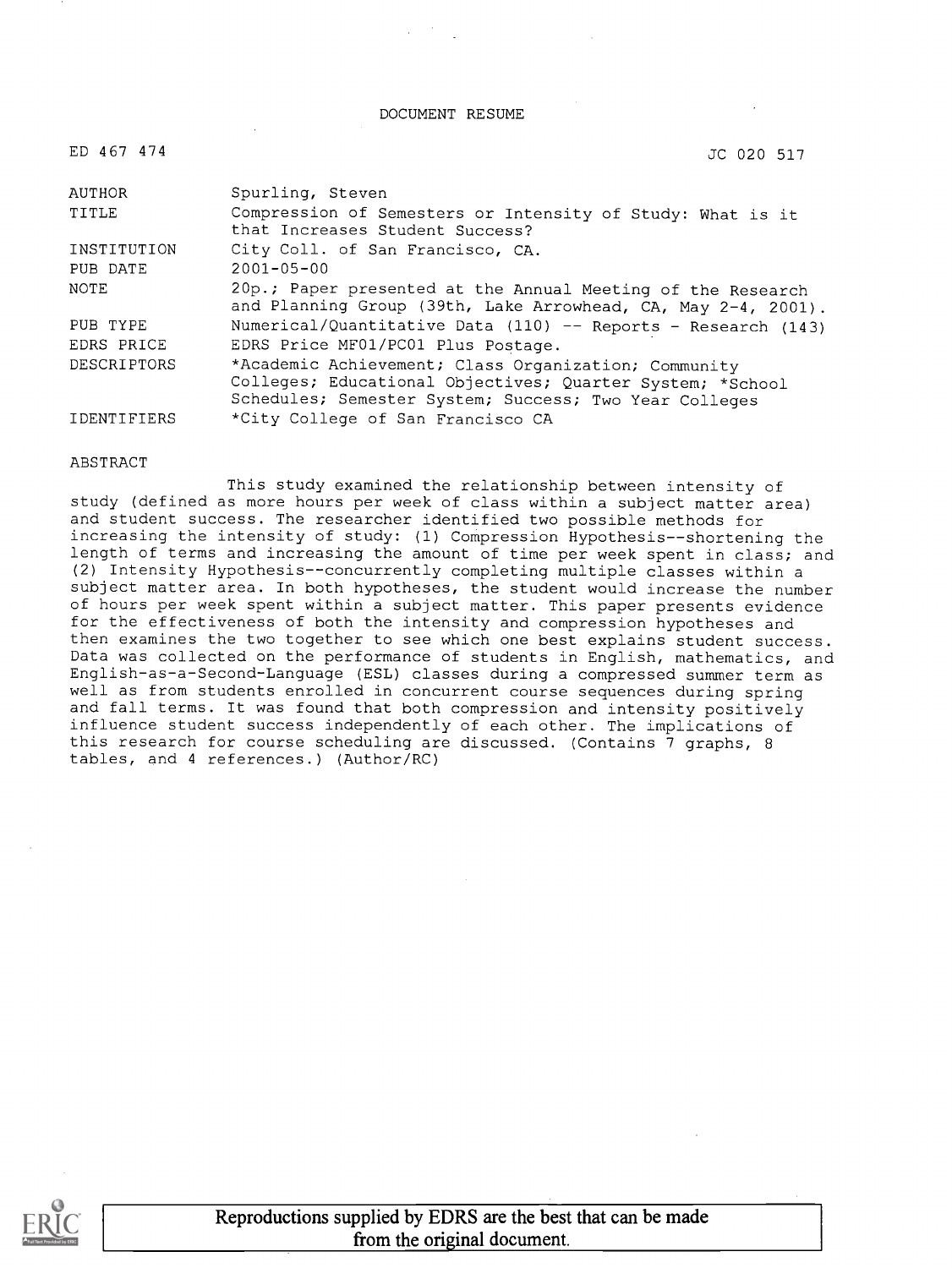DOCUMENT RESUME

| ED 467 474         | JC 020 517                                                                                                                                                                  |
|--------------------|-----------------------------------------------------------------------------------------------------------------------------------------------------------------------------|
| AUTHOR             | Spurling, Steven                                                                                                                                                            |
| TITLE              | Compression of Semesters or Intensity of Study: What is it<br>that Increases Student Success?                                                                               |
| INSTITUTION        | City Coll. of San Francisco, CA.                                                                                                                                            |
| PUB DATE           | $2001 - 05 - 00$                                                                                                                                                            |
| NOTE               | 20p.; Paper presented at the Annual Meeting of the Research<br>and Planning Group (39th, Lake Arrowhead, CA, May 2-4, 2001).                                                |
| PUB TYPE           | Numerical/Quantitative Data (110) -- Reports - Research (143)                                                                                                               |
| EDRS PRICE         | EDRS Price MF01/PC01 Plus Postage.                                                                                                                                          |
| <b>DESCRIPTORS</b> | *Academic Achievement; Class Organization; Community<br>Colleges; Educational Objectives; Quarter System; *School<br>Schedules; Semester System; Success; Two Year Colleges |
| <b>IDENTIFIERS</b> | *City College of San Francisco CA                                                                                                                                           |

#### **ABSTRACT**

This study examined the relationship between intensity of study (defined as more hours per week of class within a subject matter area) and student success. The researcher identified two possible methods for increasing the intensity of study: (1) Compression Hypothesis--shortening the length of terms and increasing the amount of time per week spent in class; and (2) Intensity Hypothesis--concurrently completing multiple classes within a subject matter area. In both hypotheses, the student would increase the number of hours per week spent within a subject matter. This paper presents evidence for the effectiveness of both the intensity and compression hypotheses and then examines the two together to see which one best explains student success. Data was collected on the performance of students in English, mathematics, and English-as-a-Second-Language (ESL) classes during a compressed summer term as well as from students enrolled in concurrent course sequences during spring and fall terms. It was found that both compression and intensity positively influence student success independently of each other. The implications of this research for course scheduling are discussed. (Contains 7 graphs, <sup>8</sup> tables, and 4 references.) (Author/RC)



Reproductions supplied by EDRS are the best that can be made from the original document.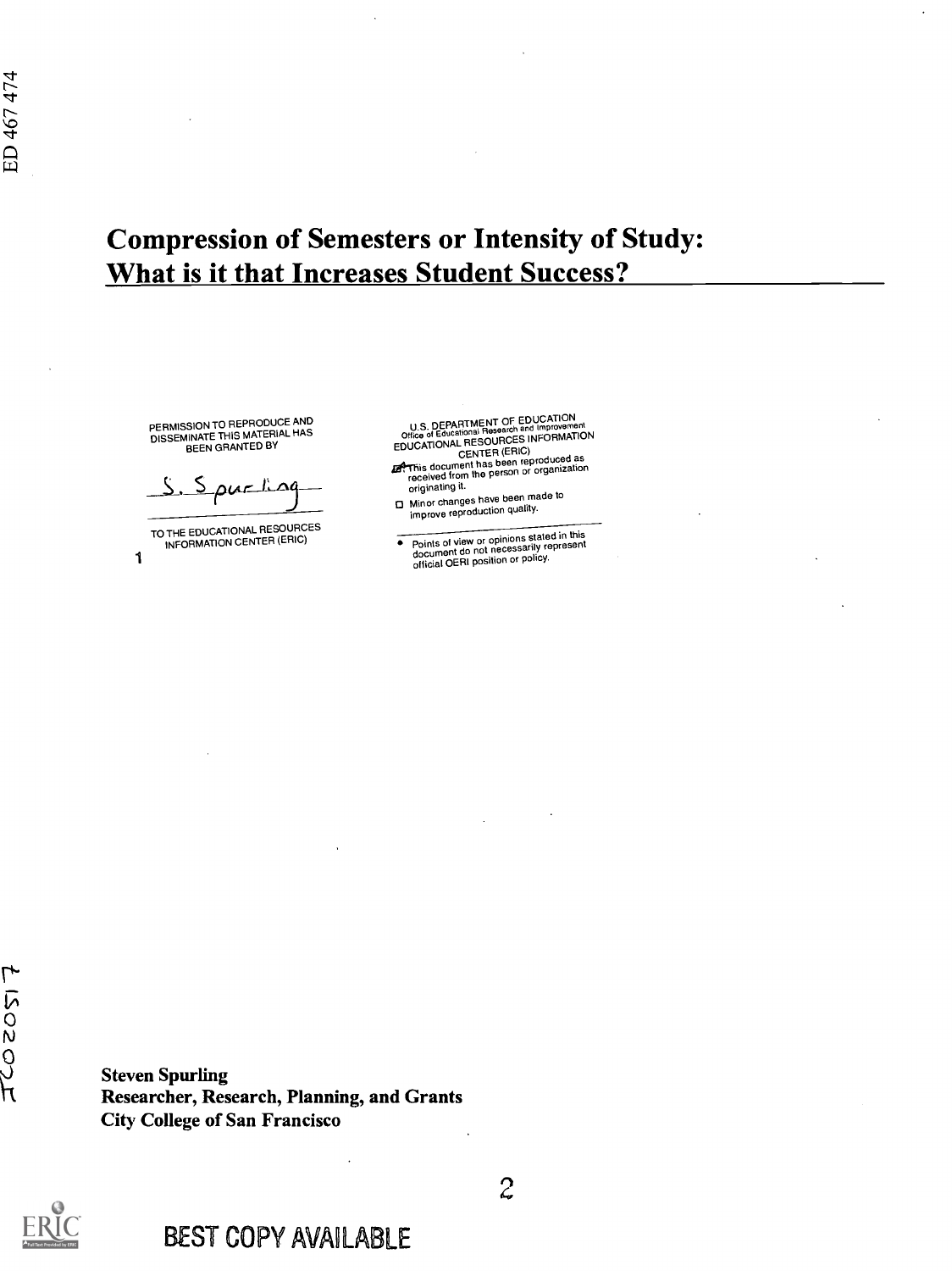# Compression of Semesters or Intensity of Study: What is it that Increases Student Success?

PERMISSION TO REPRODUCE AND<br>DISSEMINATE THIS MATERIAL HAS<br>BEEN GRANTED BY

 $S.S$  pur ling

TO THE EDUCATIONAL RESOURCES INFORMATION CENTER (ERIC)

1

U.S. DEPARTMENT OF EDUCATION<br>
Office of Educational Research and Improvement<br>
EDUCATIONAL RESOURCES INFORMATION<br>
CENTER (ERIC)<br>
Zenter reproduced as<br>
received from the person or organization<br>
originating it.

- 
- 0 Minor changes have been made to improve reproduction quality.
- Points of view or opinions stated in this document do not necessarily represent official OERI position or policy.

 $\mathsf{Q}$ Steven Spurling Researcher, Research, Planning, and Grants City College of San Francisco

 $\overline{O}$ N



 $\mathcal{Z}$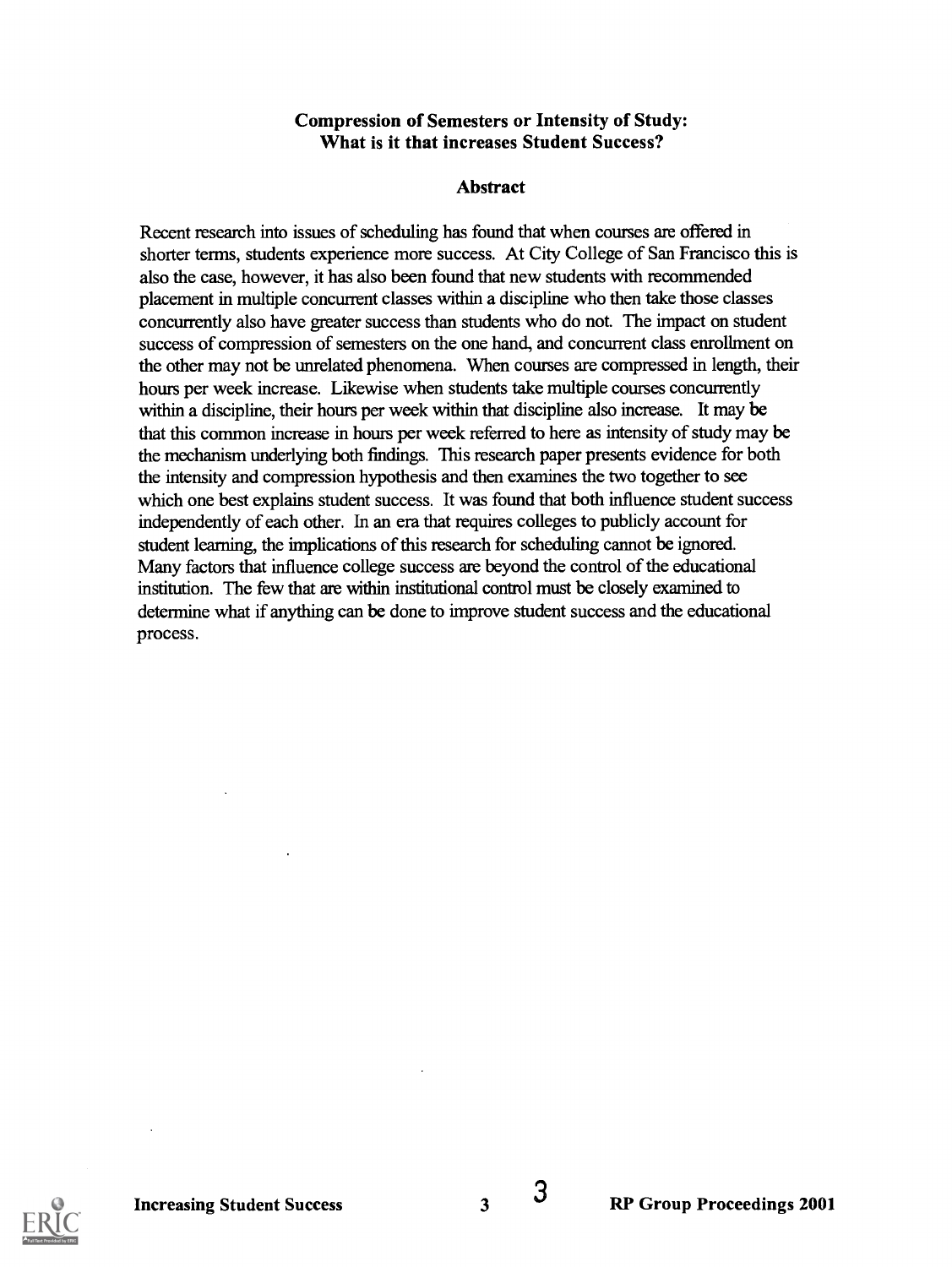#### Compression of Semesters or Intensity of Study: What is it that increases Student Success?

#### Abstract

Recent research into issues of scheduling has found that when courses are offered in shorter terms, students experience more success. At City College of San Francisco this is also the case, however, it has also been found that new students with recommended placement in multiple concurrent classes within a discipline who then take those classes concurrently also have greater success than students who do not. The impact on student success of compression of semesters on the one hand, and concurrent class enrollment on the other may not be unrelated phenomena. When courses are compressed in length, their hours per week increase. Likewise when students take multiple courses concurrently within a discipline, their hours per week within that discipline also increase. It may be that this common increase in hours per week referred to here as intensity of study may be the mechanism underlying both findings. This research paper presents evidence for both the intensity and compression hypothesis and then examines the two together to see which one best explains student success. It was found that both influence student success independently of each other. In an era that requires colleges to publicly account for student learning, the implications of this research for scheduling cannot be ignored. Many factors that influence college success are beyond the control of the educational institution. The few that are within institutional control must be closely examined to determine what if anything can be done to improve student success and the educational process.

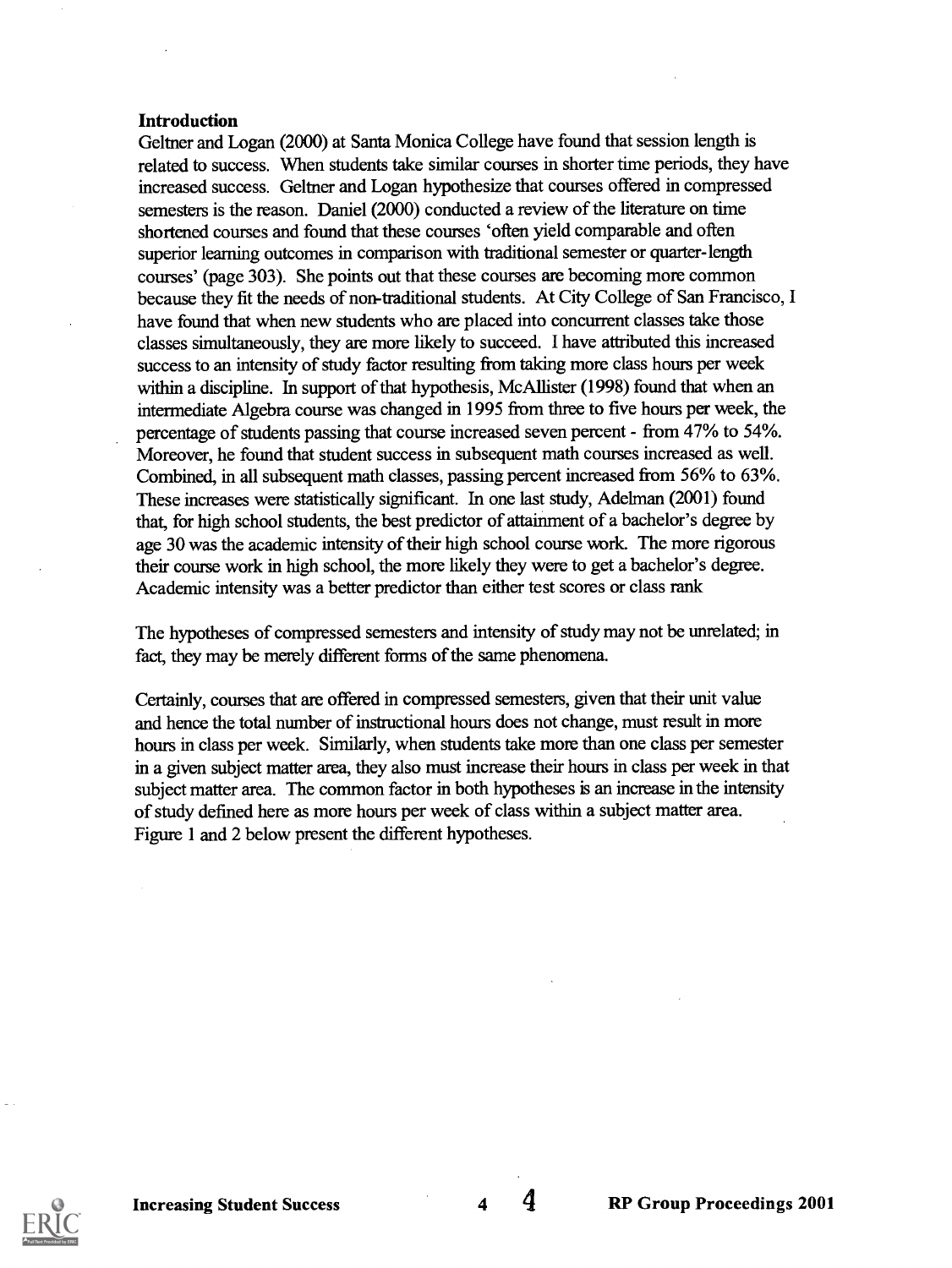#### Introduction

Geltner and Logan (2000) at Santa Monica College have found that session length is related to success. When students take similar courses in shorter time periods, they have increased success. Geltner and Logan hypothesize that courses offered in compressed semesters is the reason. Daniel (2000) conducted a review of the literature on time shortened courses and found that these courses 'often yield comparable and often superior learning outcomes in comparison with traditional semester or quarter-length courses' (page 303). She points out that these courses are becoming more common because they fit the needs of non-traditional students. At City College of San Francisco, I have found that when new students who are placed into concurrent classes take those classes simultaneously, they are more likely to succeed. I have attributed this increased success to an intensity of study factor resulting from taking more class hours per week within a discipline. In support of that hypothesis, McAllister (1998) found that when an intermediate Algebra course was changed in 1995 from three to five hours per week, the percentage of students passing that course increased seven percent - from 47% to 54%. Moreover, he found that student success in subsequent math courses increased as well. Combined, in all subsequent math classes, passing percent increased from 56% to 63%. These increases were statistically significant. In one last study, Adelman (2001) found that, for high school students, the best predictor of attainment of a bachelor's degree by age 30 was the academic intensity of their high school course work. The more rigorous their course work in high school, the more likely they were to get a bachelor's degree. Academic intensity was a better predictor than either test scores or class rank

The hypotheses of compressed semesters and intensity of study may not be unrelated; in fact, they may be merely different forms of the same phenomena.

Certainly, courses that are offered in compressed semesters, given that their unit value and hence the total number of instructional hours does not change, must result in more hours in class per week. Similarly, when students take more than one class per semester in a given subject matter area, they also must increase their hours in class per week in that subject matter area. The common factor in both hypotheses is an increase in the intensity of study defined here as more hours per week of class within a subject matter area. Figure 1 and 2 below present the different hypotheses.

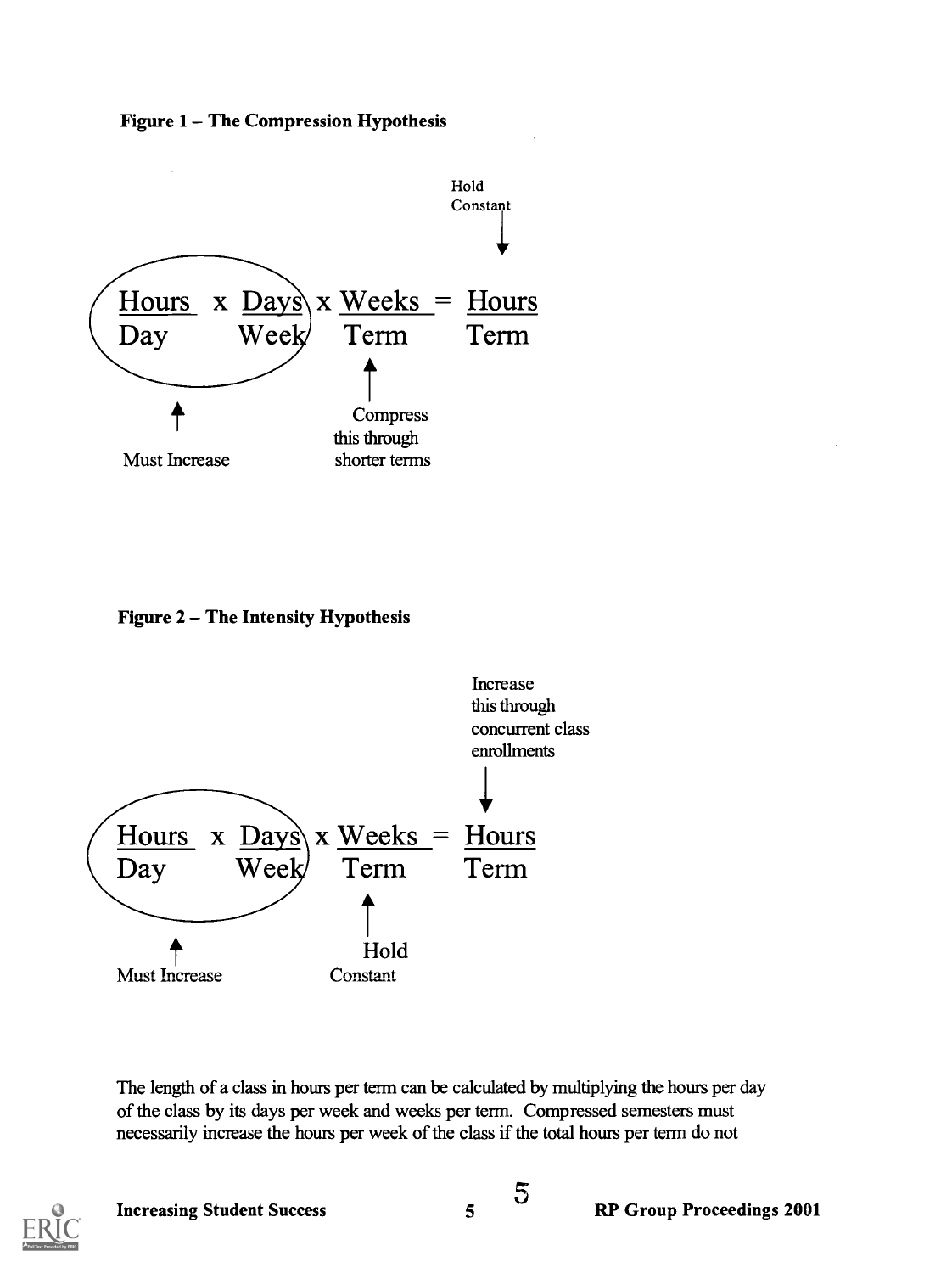



Figure  $2 -$  The Intensity Hypothesis



The length of a class in hours per term can be calculated by multiplying the hours per day of the class by its days per week and weeks per term. Compressed semesters must necessarily increase the hours per week of the class if the total hours per term do not

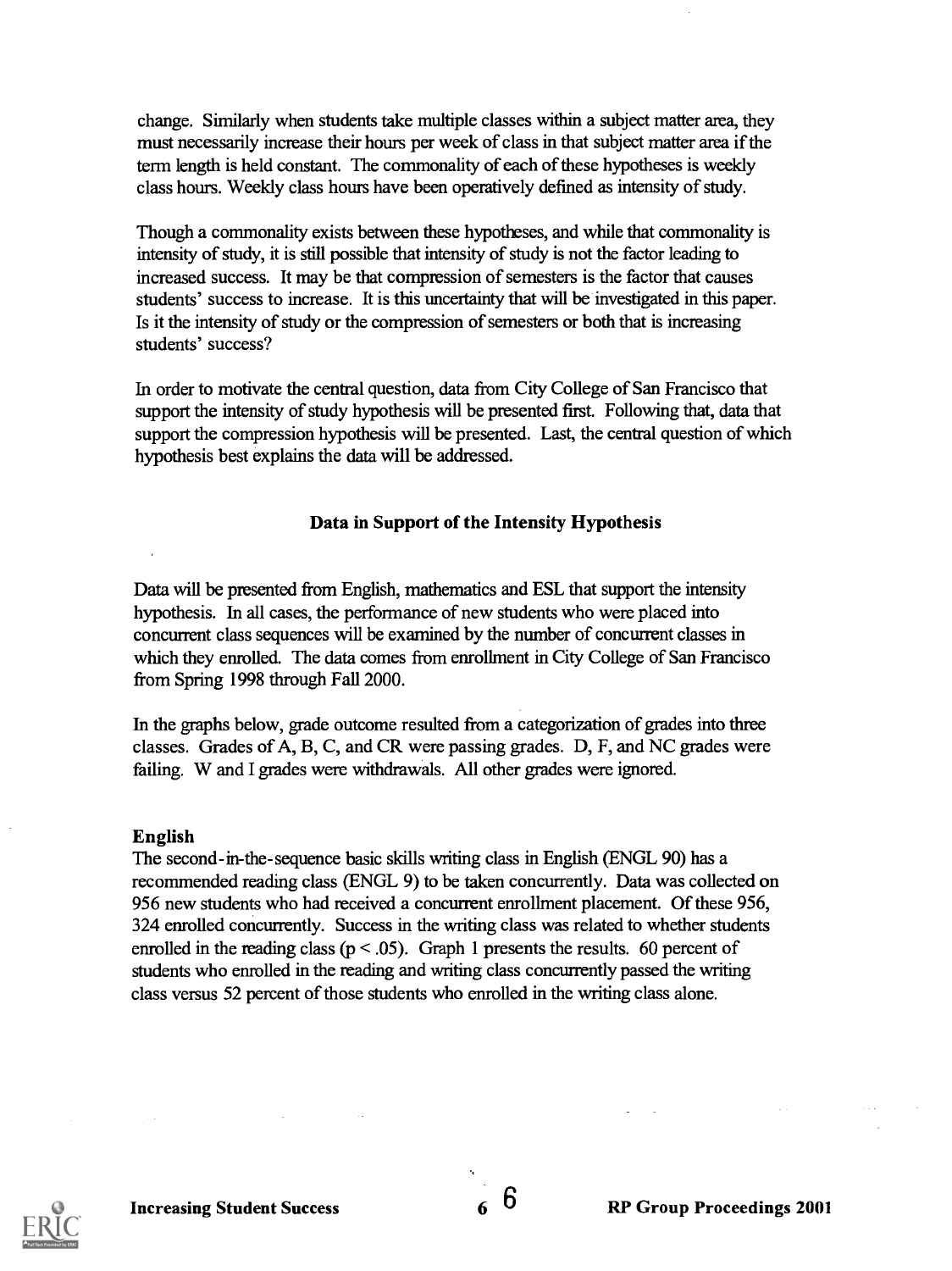change. Similarly when students take multiple classes within a subject matter area, they must necessarily increase their hours per week of class in that subject matter area if the term length is held constant. The commonality of each of these hypotheses is weekly class hours. Weekly class hours have been operatively defined as intensity of study.

Though a commonality exists between these hypotheses, and while that commonality is intensity of study, it is still possible that intensity of study is not the factor leading to increased success. It may be that compression of semesters is the factor that causes students' success to increase. It is this uncertainty that will be investigated in this paper. Is it the intensity of study or the compression of semesters or both that is increasing students' success?

In order to motivate the central question, data from City College of San Francisco that support the intensity of study hypothesis will be presented first. Following that, data that support the compression hypothesis will be presented. Last, the central question of which hypothesis best explains the data will be addressed.

#### Data in Support of the Intensity Hypothesis

Data will be presented from English, mathematics and ESL that support the intensity hypothesis. In all cases, the performance of new students who were placed into concurrent class sequences will be examined by the number of concurrent classes in which they enrolled. The data comes from enrollment in City College of San Francisco from Spring 1998 through Fall 2000.

In the graphs below, grade outcome resulted from a categorization of grades into three classes. Grades of A, B, C, and CR were passing grades. D, F, and NC grades were failing. W and I grades were withdrawals. All other grades were ignored.

#### English

The second-in-the-sequence basic skills writing class in English (ENGL 90) has a recommended reading class (ENGL 9) to be taken concurrently. Data was collected on 956 new students who had received a concurrent enrollment placement. Of these 956, 324 enrolled concurrently. Success in the writing class was related to whether students enrolled in the reading class ( $p < .05$ ). Graph 1 presents the results. 60 percent of students who enrolled in the reading and writing class concurrently passed the writing class versus 52 percent of those students who enrolled in the writing class alone.

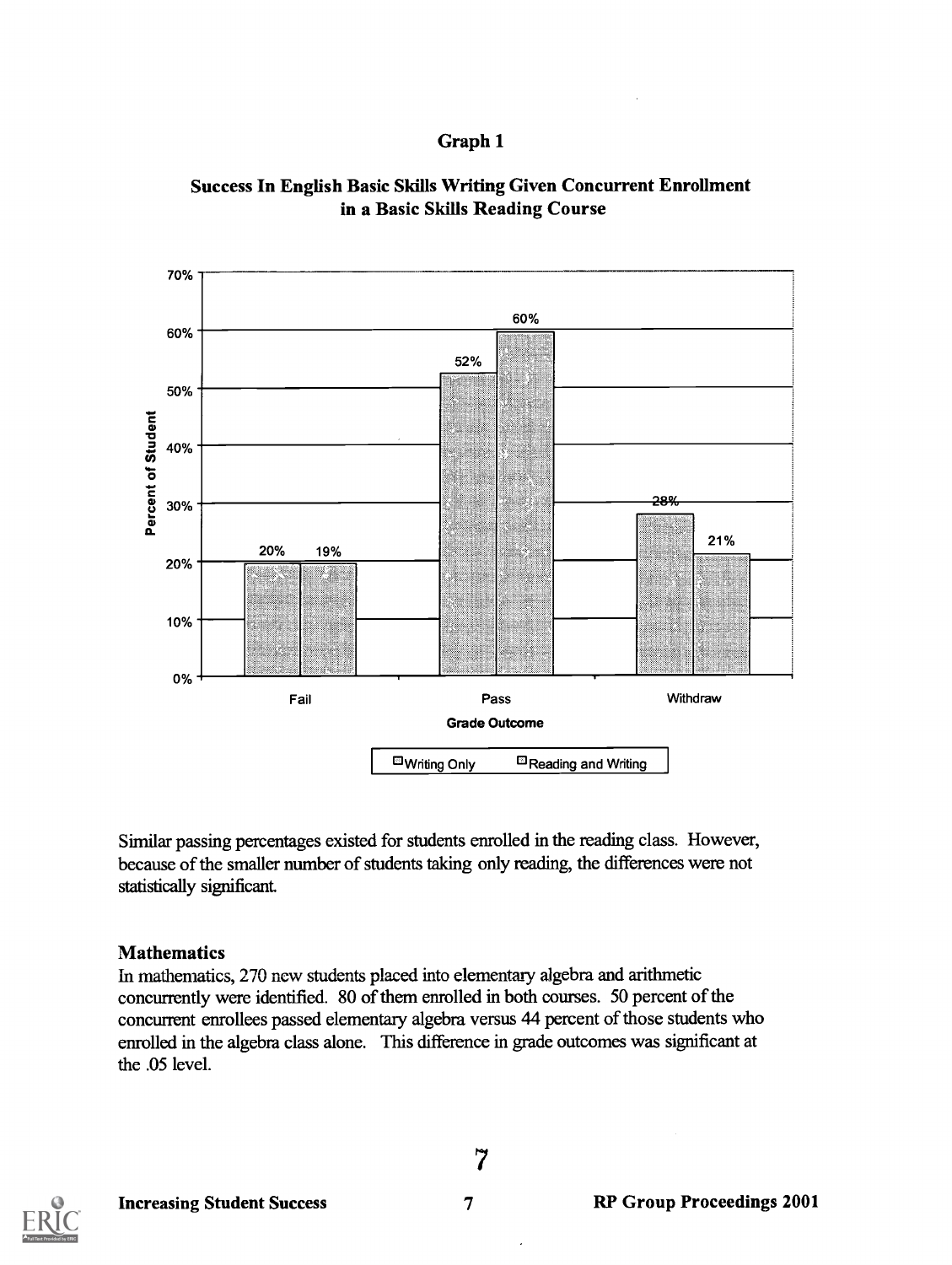# Graph 1



# Success In English Basic Skills Writing Given Concurrent Enrollment in a Basic Skills Reading Course

Similar passing percentages existed for students enrolled in the reading class. However, because of the smaller number of students taking only reading, the differences were not statistically significant.

# **Mathematics**

In mathematics, 270 new students placed into elementary algebra and arithmetic concurrently were identified. 80 of them enrolled in both courses. 50 percent of the concurrent enrollees passed elementary algebra versus 44 percent of those students who enrolled in the algebra class alone. This difference in grade outcomes was significant at the .05 level.

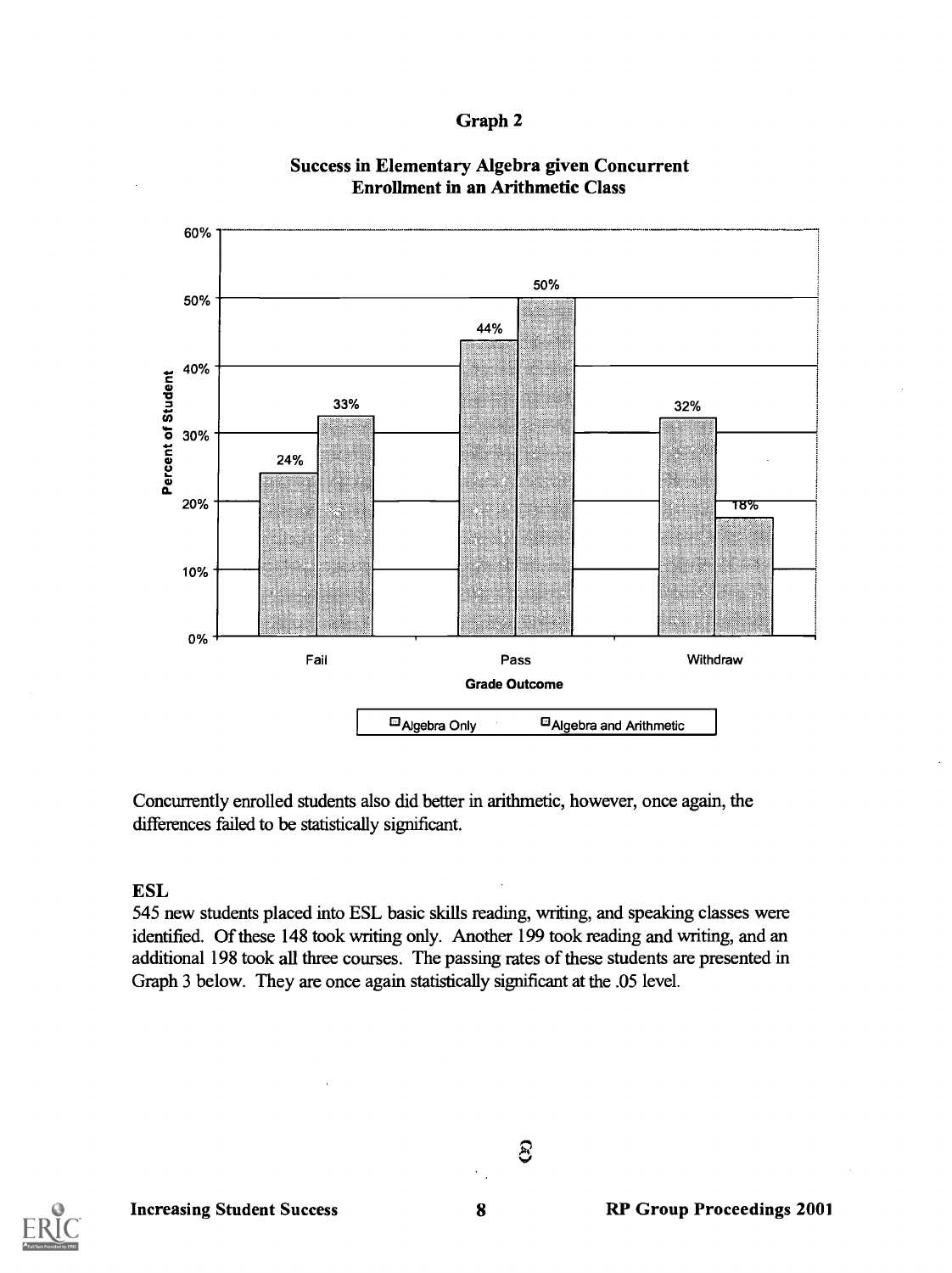Graph 2



#### Success in Elementary Algebra given Concurrent Enrollment in an Arithmetic Class

Concurrently enrolled students also did better in arithmetic, however, once again, the differences failed to be statistically significant.

# ESL

545 new students placed into ESL basic skills reading, writing, and speaking classes were identified. Of these 148 took writing only. Another 199 took reading and writing, and an additional 198 took all three courses. The passing rates of these students are presented in Graph 3 below. They are once again statistically significant at the .05 level.

ව

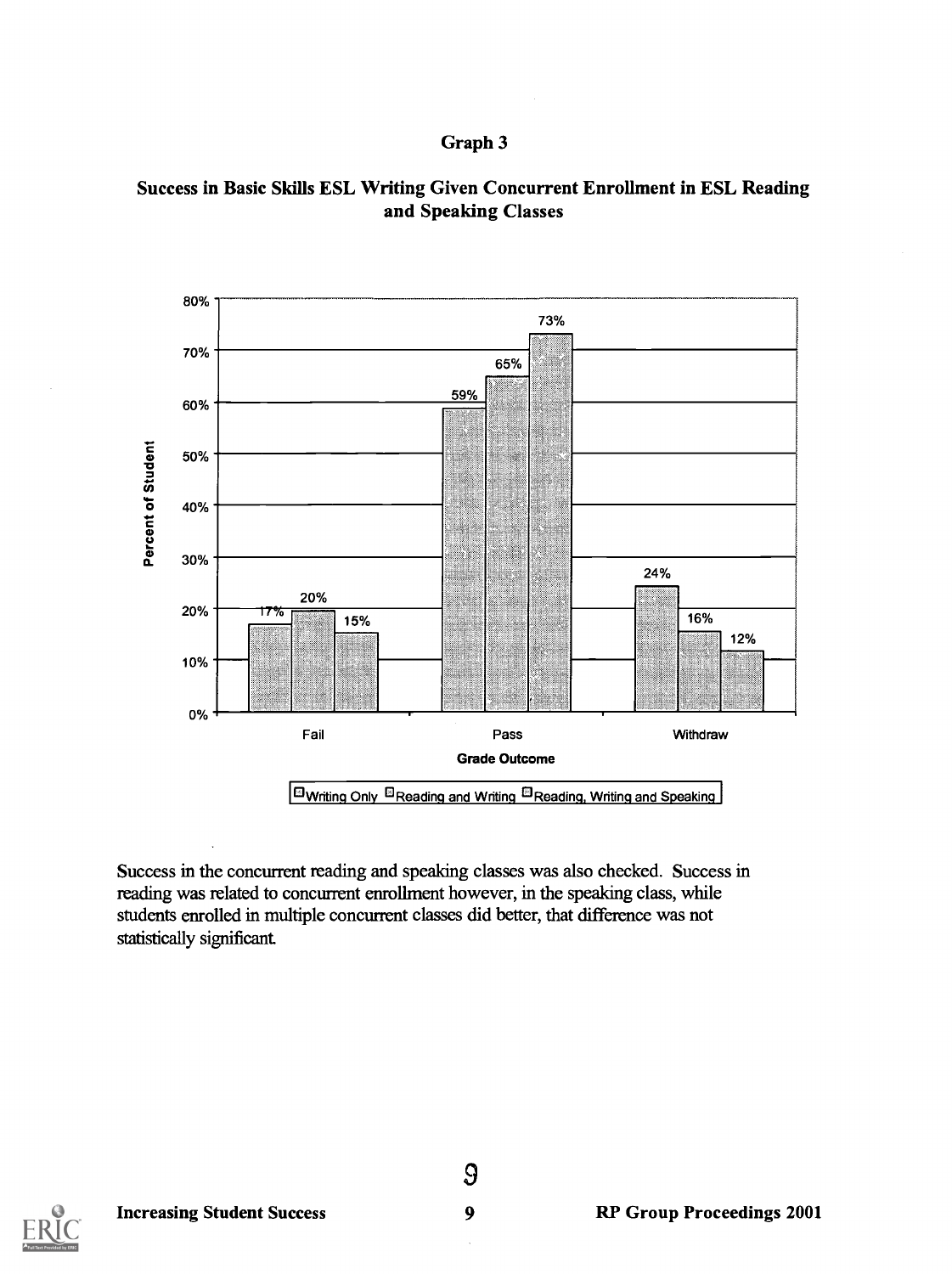#### Graph 3





Success in the concurrent reading and speaking classes was also checked. Success in reading was related to concurrent enrollment however, in the speaking class, while students enrolled in multiple concurrent classes did better, that difference was not statistically significant.

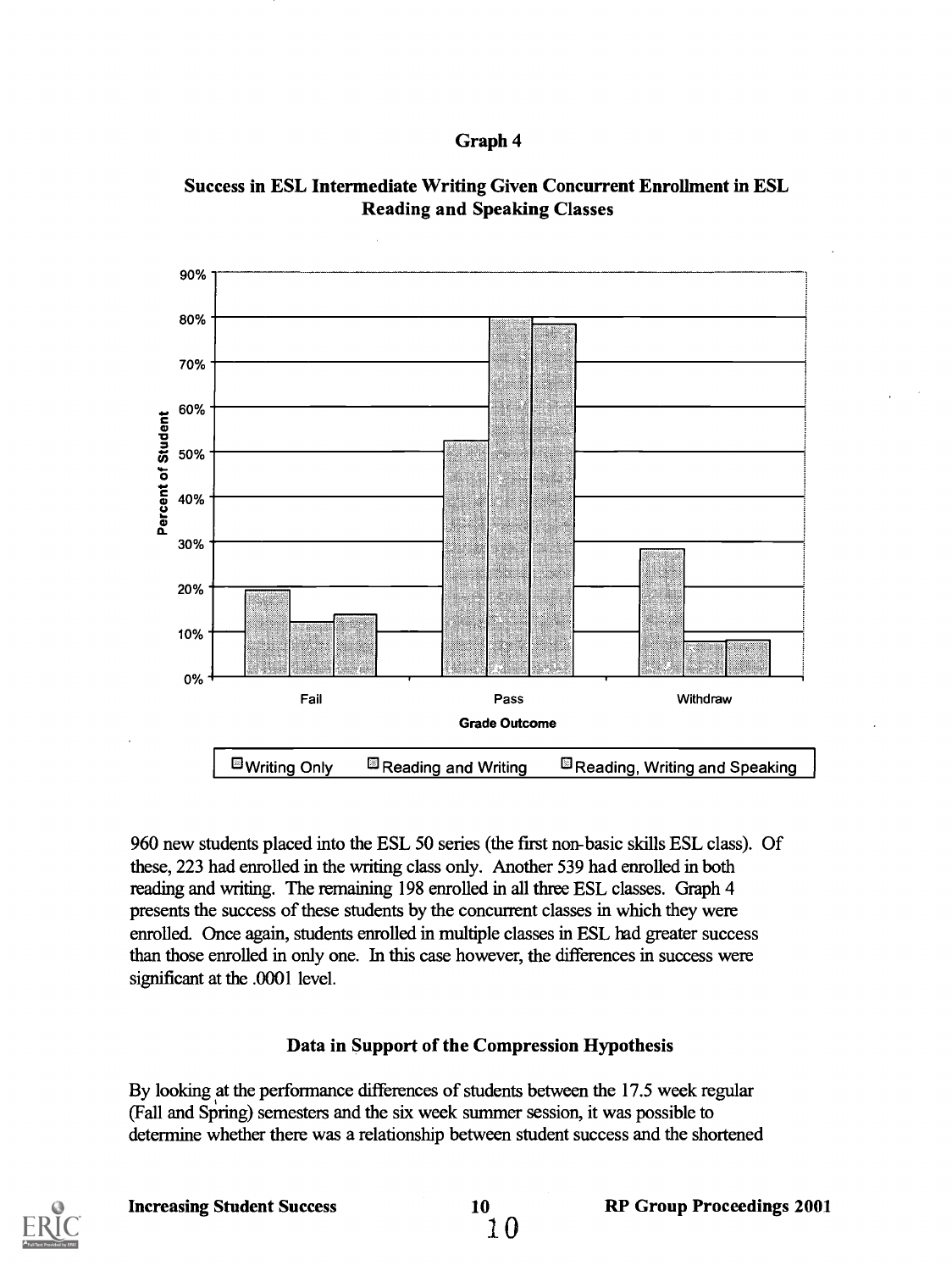





960 new students placed into the ESL 50 series (the first non-basic skills ESL class). Of these, 223 had enrolled in the writing class only. Another 539 had enrolled in both reading and writing. The remaining 198 enrolled in all three ESL classes. Graph 4 presents the success of these students by the concurrent classes in which they were enrolled. Once again, students enrolled in multiple classes in ESL had greater success than those enrolled in only one. In this case however, the differences in success were significant at the .0001 level.

# Data in Support of the Compression Hypothesis

By looking at the performance differences of students between the 17.5 week regular (Fall and Spring) semesters and the six week summer session, it was possible to determine whether there was a relationship between student success and the shortened

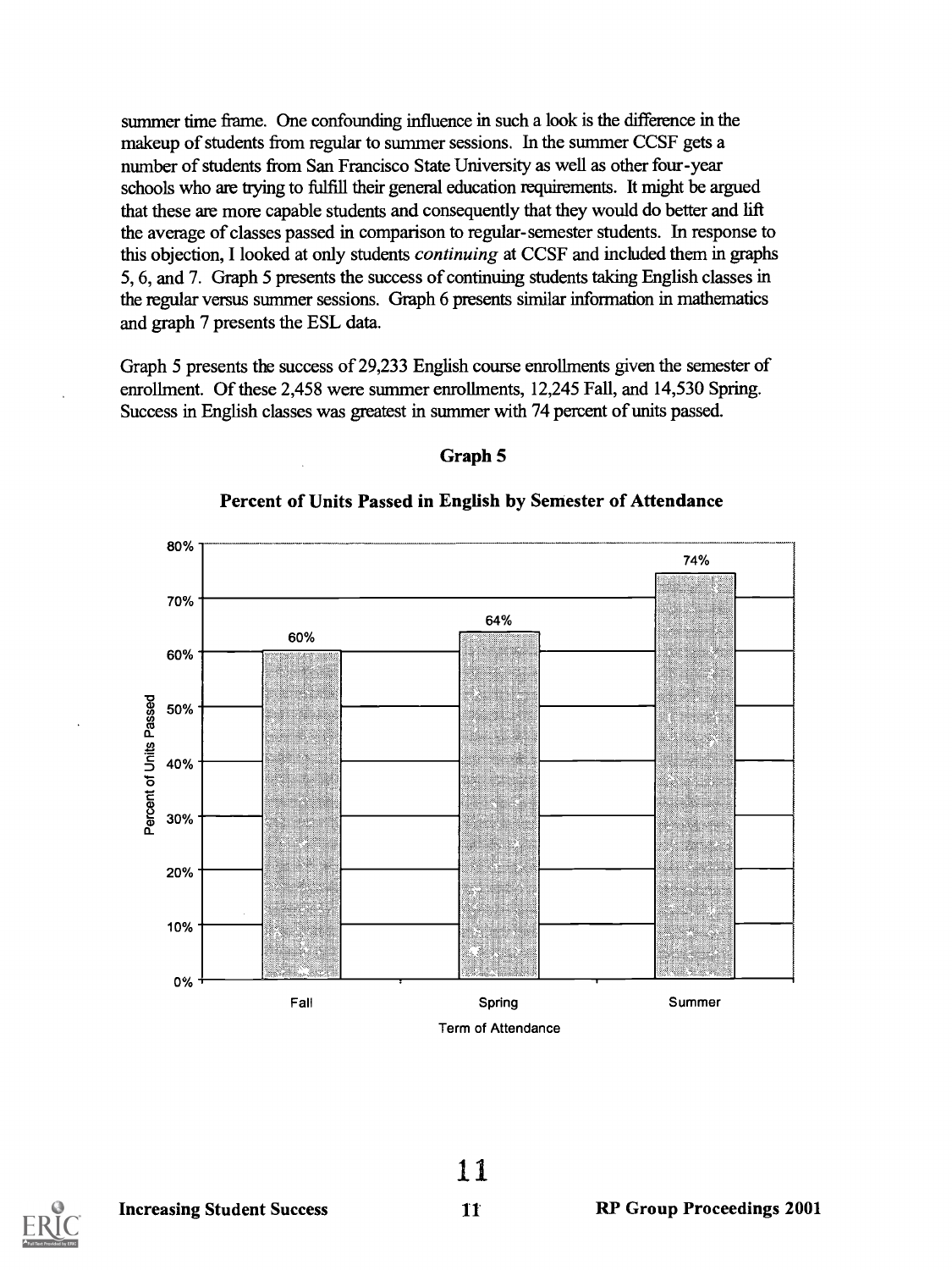summer time frame. One confounding influence in such a look is the difference in the makeup of students from regular to summer sessions. In the summer CCSF gets a number of students from San Francisco State University as well as other four-year schools who are tying to fulfill their general education requirements. It might be argued that these are more capable students and consequently that they would do better and lift the average of classes passed in comparison to regular-semester students. In response to this objection, I looked at only students continuing at CCSF and included them in graphs 5, 6, and 7. Graph 5 presents the success of continuing students taking English classes in the regular versus summer sessions. Graph 6 presents similar information in mathematics and graph 7 presents the ESL data.

Graph 5 presents the success of 29,233 English course enrollments given the semester of enrollment. Of these 2,458 were summer enrollments, 12,245 Fall, and 14,530 Spring. Success in English classes was greatest in summer with 74 percent of units passed.



#### Graph 5

Percent of Units Passed in English by Semester of Attendance



11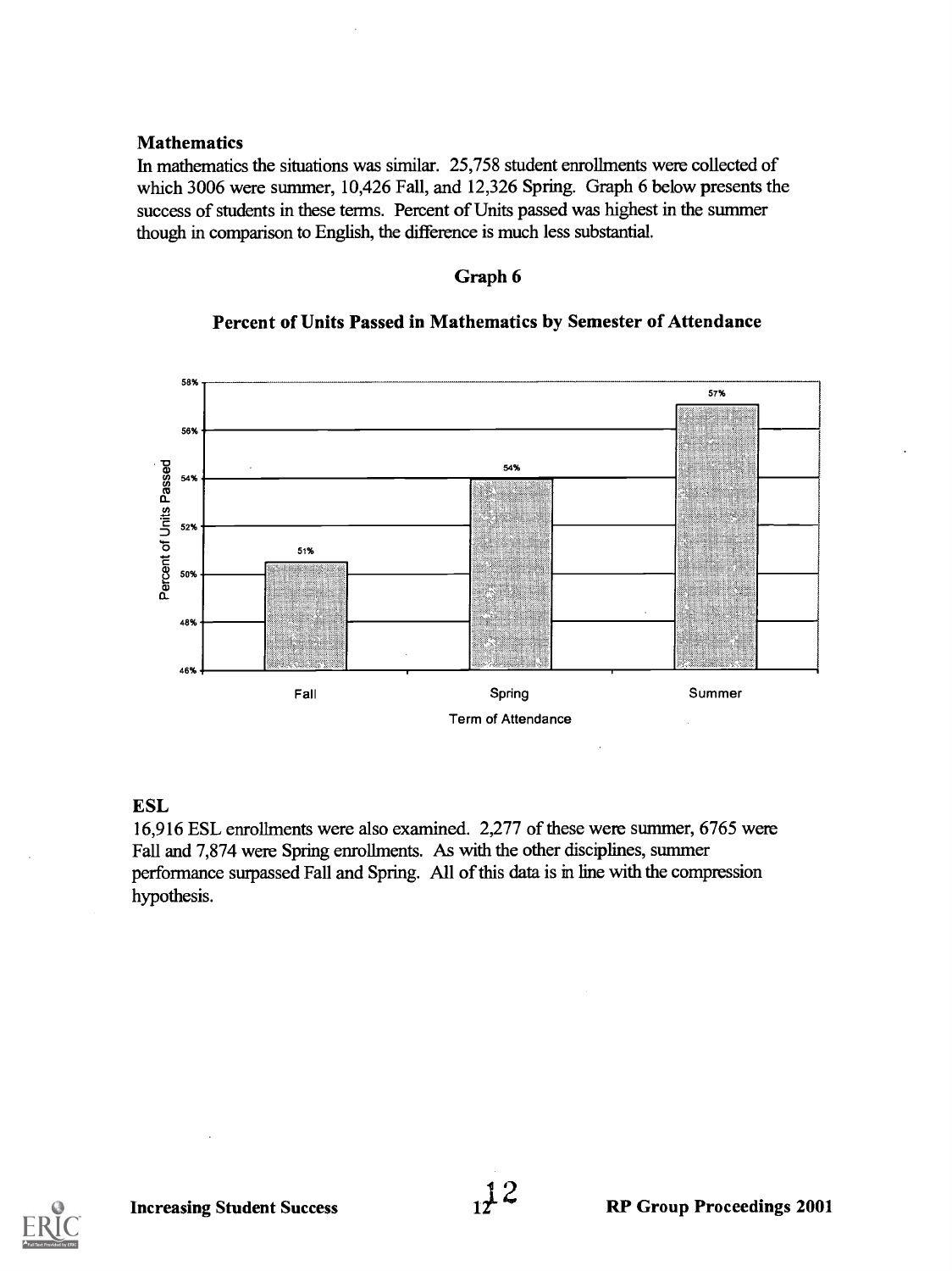#### Mathematics

In mathematics the situations was similar. 25,758 student enrollments were collected of which 3006 were summer, 10,426 Fall, and 12,326 Spring. Graph 6 below presents the success of students in these terms. Percent of Units passed was highest in the summer though in comparison to English, the difference is much less substantial.

#### Graph 6

#### Percent of Units Passed in Mathematics by Semester of Attendance



#### ESL

16,916 ESL enrollments were also examined. 2,277 of these were summer, 6765 were Fall and 7,874 were Spring enrollments. As with the other disciplines, summer performance surpassed Fall and Spring. All of this data is in line with the compression hypothesis.

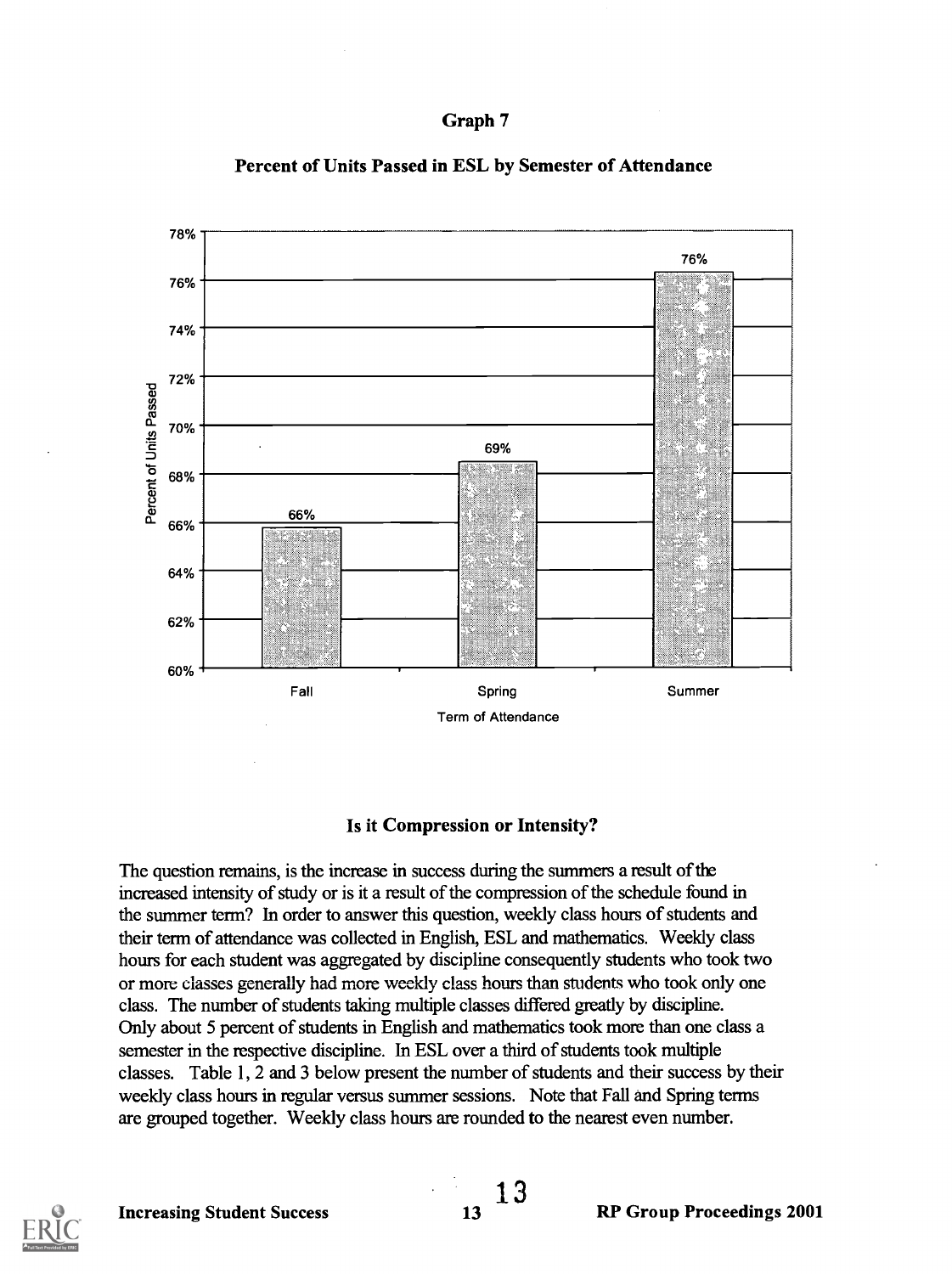



#### Percent of Units Passed in ESL by Semester of Attendance

#### Is it Compression or Intensity?

The question remains, is the increase in success during the summers a result of the increased intensity of study or is it a result of the compression of the schedule found in the summer term? In order to answer this question, weekly class hours of students and their term of attendance was collected in English, ESL and mathematics. Weekly class hours for each student was aggregated by discipline consequently students who took two or more classes generally had more weekly class hours than students who took only one class. The number of students taking multiple classes differed greatly by discipline. Only about 5 percent of students in English and mathematics took more than one class a semester in the respective discipline. In ESL over a third of students took multiple classes. Table 1, 2 and 3 below present the number of students and their success by their weekly class hours in regular versus summer sessions. Note that Fall and Spring terms are grouped together. Weekly class hours are rounded to the nearest even number.

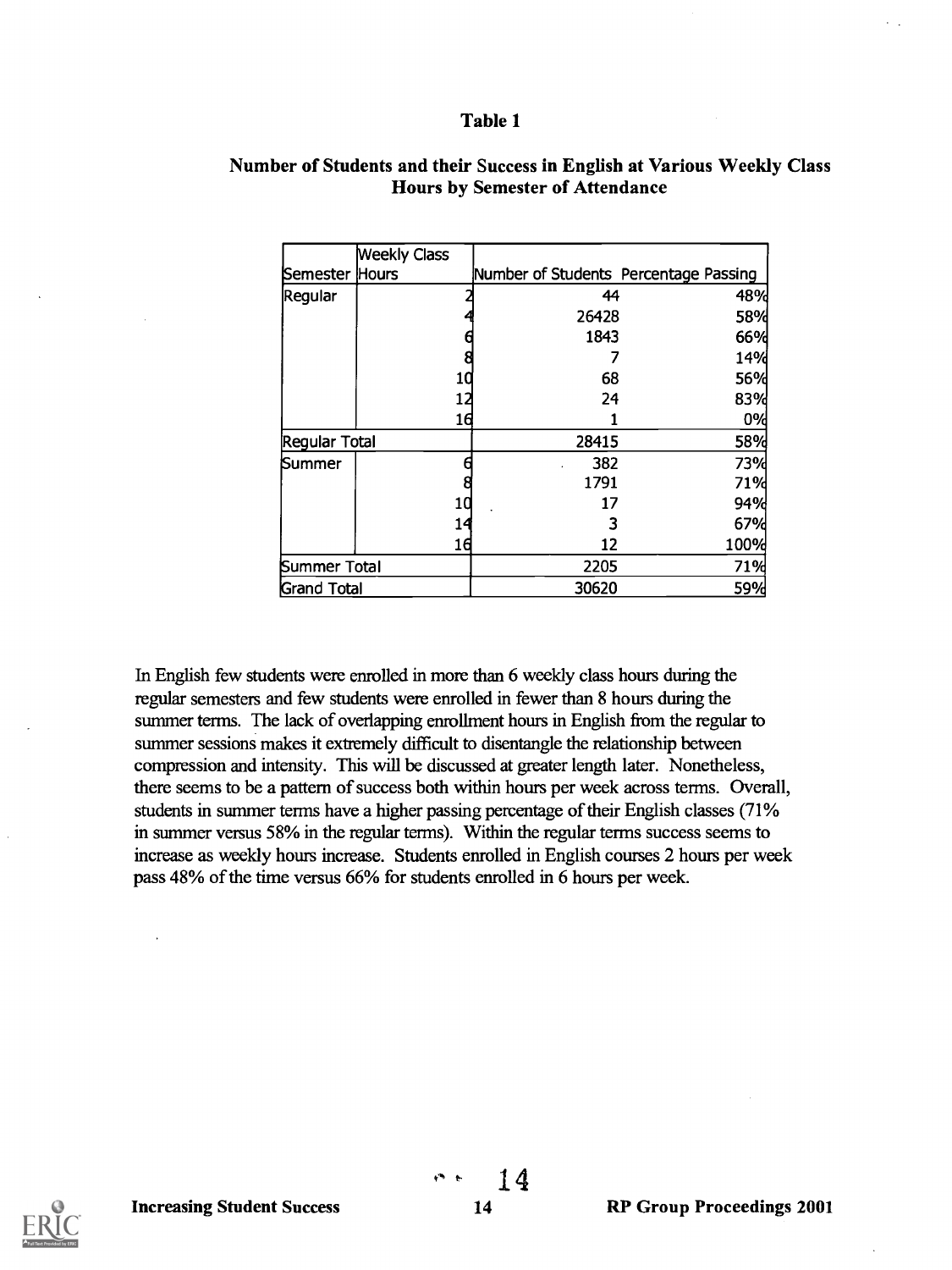|                    | <b>Weekly Class</b> |                                       |            |
|--------------------|---------------------|---------------------------------------|------------|
| Semester Hours     |                     | Number of Students Percentage Passing |            |
| Regular            |                     | 44                                    | 48%        |
|                    |                     | 26428                                 | 58%        |
|                    |                     | 1843                                  | 66%        |
|                    |                     |                                       | 14%        |
|                    | 10                  | 68                                    | 56%        |
|                    | 12                  | 24                                    | 83%        |
|                    | 16                  |                                       | 0%         |
| Regular Total      |                     | 28415                                 | <b>58%</b> |
| Summer             |                     | 382                                   | 73%        |
|                    |                     | 1791                                  | <b>71%</b> |
|                    | 10                  | 17                                    | 94%        |
|                    | 14                  |                                       | 67%        |
|                    | 16                  | 12                                    | 100%       |
| Summer Total       |                     | 2205                                  | <b>71%</b> |
| <b>Grand Total</b> |                     | 30620                                 | <b>59%</b> |

#### Number of Students and their Success in English at Various Weekly Class Hours by Semester of Attendance

In English few students were enrolled in more than 6 weekly class hours during the regular semesters and few students were enrolled in fewer than 8 hours during the summer terms. The lack of overlapping enrollment hours in English from the regular to summer sessions makes it extremely difficult to disentangle the relationship between compression and intensity. This will be discussed at greater length later. Nonetheless, there seems to be a pattern of success both within hours per week across terms. Overall, students in summer terms have a higher passing percentage of their English classes (71% in summer versus 58% in the regular terms). Within the regular terms success seems to increase as weekly hours increase. Students enrolled in English courses 2 hours per week pass 48% of the time versus 66% for students enrolled in 6 hours per week.

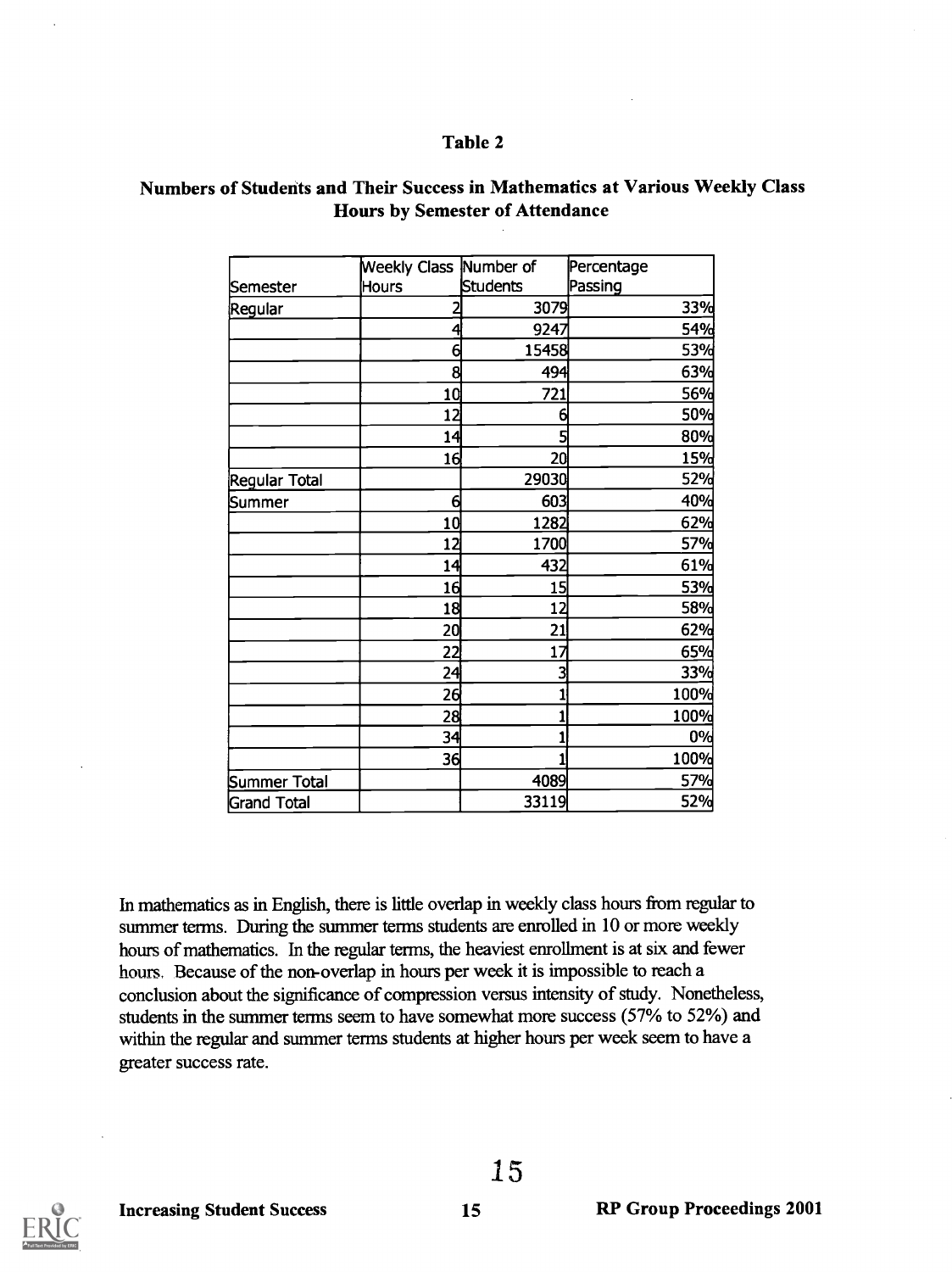#### Numbers of Students and Their Success in Mathematics at Various Weekly Class Hours by Semester of Attendance

|               | Weekly Class Number of |          | Percentage |
|---------------|------------------------|----------|------------|
| Semester      | <b>Hours</b>           | Students | Passing    |
| Regular       | 2                      | 3079     | <b>33%</b> |
|               | 4                      | 9247     | 54%        |
|               | 6                      | 15458    | 53%        |
|               | 8                      | 494      | 63%        |
|               | 10                     | 721      | 56%        |
|               | 12                     | 6        | 50%        |
|               | 14                     | 5        | 80%        |
|               | 16                     | 20       | <b>15%</b> |
| Regular Total |                        | 29030    | <b>52%</b> |
| Summer        | $\epsilon$             | 603      | 40%        |
|               | 10                     | 1282     | 62%        |
|               | 12                     | 1700     | 57%        |
|               | 14                     | 432      | 61%        |
|               | 16                     | 15       | 53%        |
|               | 18                     | 12       | <b>58%</b> |
|               | 20                     | 21       | 62%        |
|               | 22                     | 17       | 65%        |
|               | 24                     | 3        | 33%        |
|               | 26                     |          | 100%       |
|               | 28                     |          | 100%       |
|               | 34                     |          | 0%         |
|               | 36                     |          | 100%       |
| Summer Total  |                        | 4089     | 57%        |
| Grand Total   |                        | 33119    | 52%        |

In mathematics as in English, there is little overlap in weekly class hours from regular to summer terms. During the summer terms students are enrolled in 10 or more weekly hours of mathematics. In the regular terms, the heaviest enrollment is at six and fewer hours, Because of the non-overlap in hours per week it is impossible to reach a conclusion about the significance of compression versus intensity of study. Nonetheless, students in the summer terms seem to have somewhat more success (57% to 52%) and within the regular and summer terms students at higher hours per week seem to have a greater success rate.

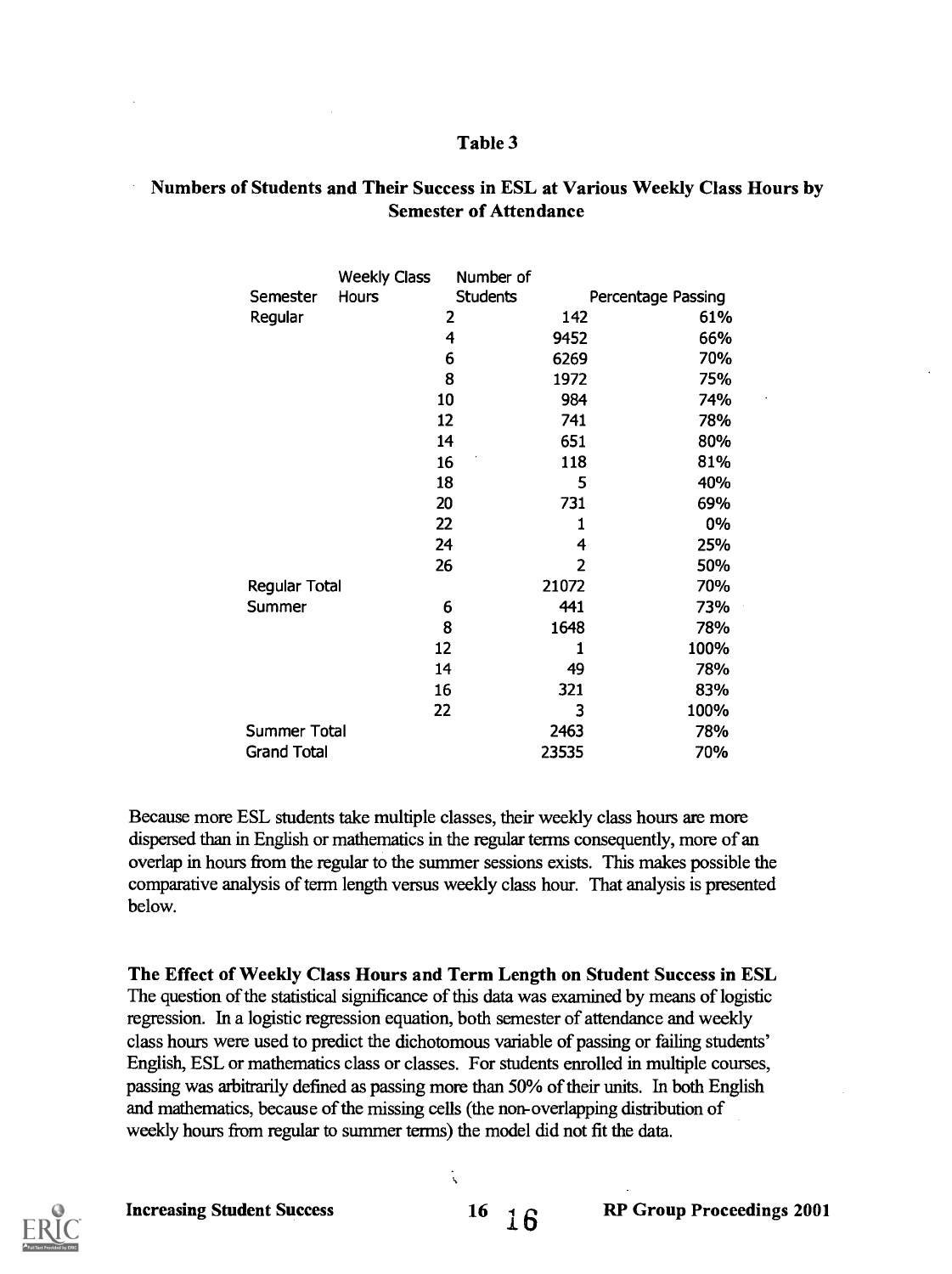# Numbers of Students and Their Success in ESL at Various Weekly Class Hours by Semester of Attendance

|                    | <b>Weekly Class</b> | Number of       |       |                    |  |
|--------------------|---------------------|-----------------|-------|--------------------|--|
| Semester           | Hours               | <b>Students</b> |       | Percentage Passing |  |
| Regular            |                     | 2               | 142   | 61%                |  |
|                    |                     | 4               | 9452  | 66%                |  |
|                    |                     | 6               | 6269  | 70%                |  |
|                    |                     | 8               | 1972  | 75%                |  |
|                    |                     | 10              | 984   | 74%                |  |
|                    |                     | 12              | 741   | 78%                |  |
|                    |                     | 14              | 651   | 80%                |  |
|                    |                     | 16              | 118   | 81%                |  |
|                    |                     | 18              | 5     | 40%                |  |
|                    |                     | 20              | 731   | 69%                |  |
|                    |                     | 22              | 1     | 0%                 |  |
|                    |                     | 24              | 4     | 25%                |  |
|                    |                     | 26              | 2     | 50%                |  |
| Regular Total      |                     |                 | 21072 | 70%                |  |
| Summer             |                     | 6               | 441   | 73%                |  |
|                    |                     | 8               | 1648  | 78%                |  |
|                    |                     | 12              | 1     | 100%               |  |
|                    |                     | 14              | 49    | 78%                |  |
|                    | 16                  |                 | 321   | 83%                |  |
|                    | 22                  |                 | 3     | 100%               |  |
| Summer Total       |                     |                 | 2463  | 78%                |  |
| <b>Grand Total</b> |                     |                 | 23535 | 70%                |  |

Because more ESL students take multiple classes, their weekly class hours are more dispersed than in English or mathematics in the regular terms consequently, more of an overlap in hours from the regular to the summer sessions exists. This makes possible the comparative analysis of term length versus weekly class hour. That analysis is presented below.

The Effect of Weekly Class Hours and Term Length on Student Success in ESL The question of the statistical significance of this data was examined by means of logistic regression. In a logistic regression equation, both semester of attendance and weekly class hours were used to predict the dichotomous variable of passing or failing students' English, ESL or mathematics class or classes. For students enrolled in multiple courses, passing was arbitrarily defined as passing more than 50% of their units. In both English and mathematics, because of the missing cells (the non-overlapping distribution of weekly hours from regular to summer terms) the model did not fit the data.

Ñ

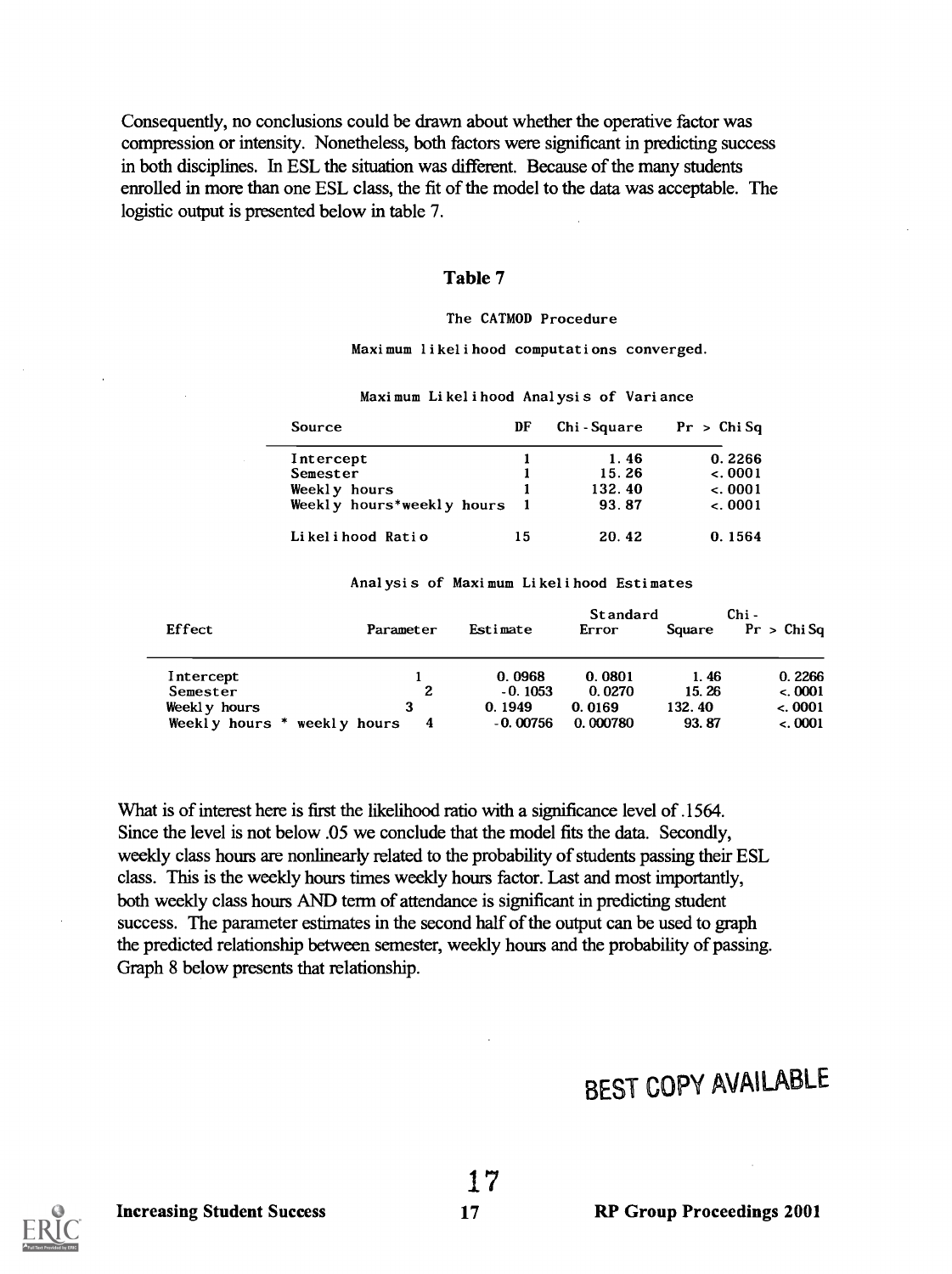Consequently, no conclusions could be drawn about whether the operative factor was compression or intensity. Nonetheless, both factors were significant in predicting success in both disciplines. In ESL the situation was different. Because of the many students enrolled in more than one ESL class, the fit of the model to the data was acceptable. The logistic output is presented below in table 7.

#### Table 7

#### The CATMOD Procedure

Maximum likelihood computations converged.

Maxi mum Li kel i hood Anal ysi s of Vari ance

| Source                    | DF | Chi-Square | Pr > Chi Sa |
|---------------------------|----|------------|-------------|
| Intercept                 |    | 1.46       | 0.2266      |
| Semester                  |    | 15.26      | $-.0001$    |
| Weekly hours              |    | 132.40     | $-.0001$    |
| Weekly hours*weekly hours |    | 93.87      | $-.0001$    |
| Likelihood Ratio          | 15 | 20.42      | 0.1564      |

#### Anal ysi s of Maxi mum Li kel i hood Esti mates

|                  |                   |            | Standard |        | Chi -       |
|------------------|-------------------|------------|----------|--------|-------------|
| Effect           | Parameter         | Estimate   | Error    | Square | Pr > Chi Sa |
| Intercept        |                   | 0.0968     | 0.0801   | 1.46   | 0.2266      |
| Semester         | 2                 | $-0.1053$  | 0.0270   | 15.26  | < 0.0001    |
| Weekly hours     |                   | 0.1949     | 0.0169   | 132.40 | $-.0001$    |
| Weekly hours $*$ | weekly hours<br>4 | $-0.00756$ | 0.000780 | 93.87  | $-.0001$    |

What is of interest here is first the likelihood ratio with a significance level of .1564. Since the level is not below .05 we conclude that the model fits the data. Secondly, weekly class hours are nonlinearly related to the probability of students passing their ESL class. This is the weekly hours times weekly hours factor. Last and most importantly, both weekly class hours AND term of attendance is significant in predicting student success. The parameter estimates in the second half of the output can be used to graph the predicted relationship between semester, weekly hours and the probability of passing. Graph 8 below presents that relationship.

# BEST COPY AVAILABLE

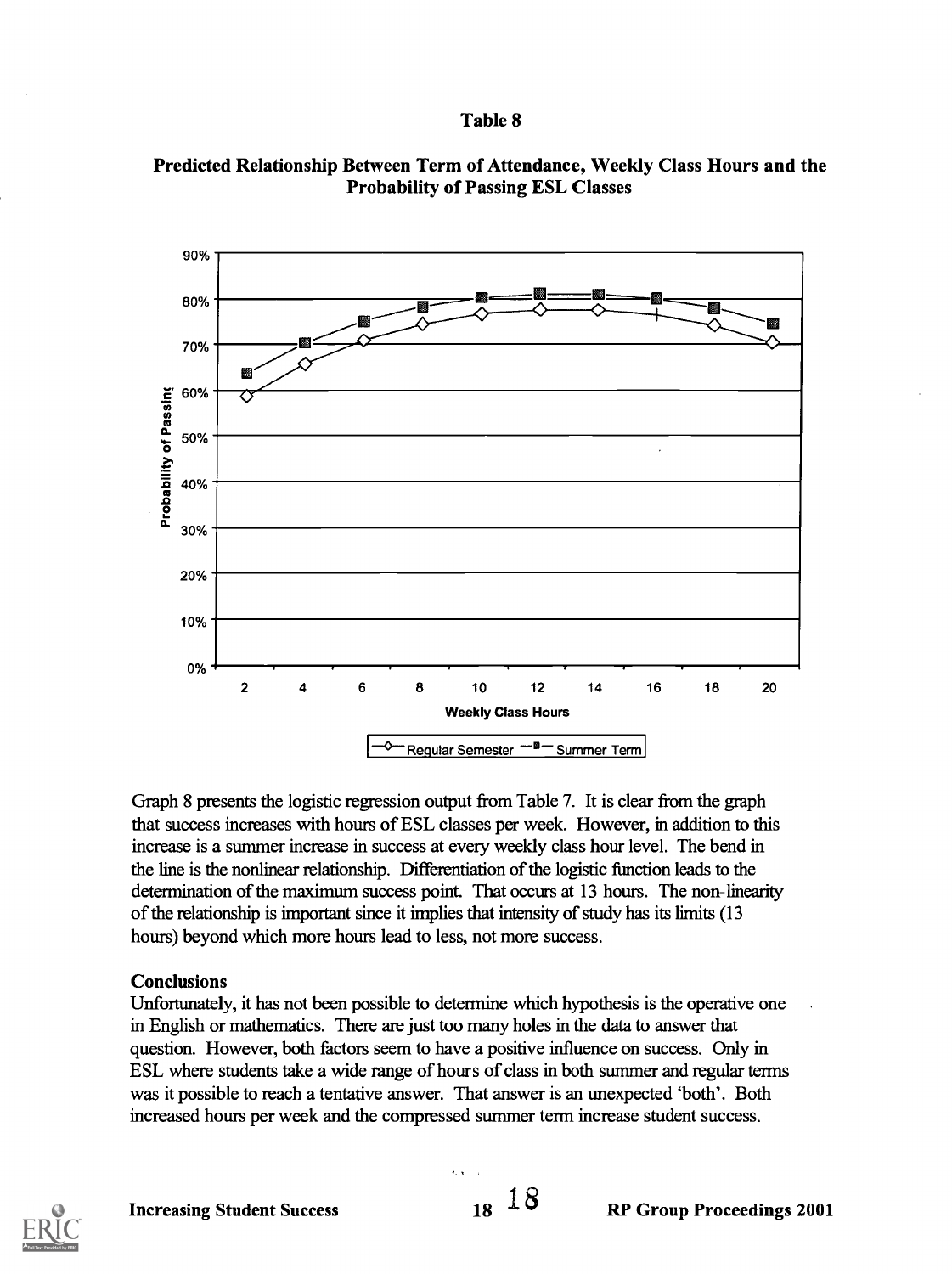

#### Predicted Relationship Between Term of Attendance, Weekly Class Hours and the Probability of Passing ESL Classes

Graph 8 presents the logistic regression output from Table 7. It is clear from the graph that success increases with hours of ESL classes per week. However, in addition to this increase is a summer increase in success at every weekly class hour level. The bend in the line is the nonlinear relationship. Differentiation of the logistic function leads to the determination of the maximum success point. That occurs at 13 hours. The non-linearity of the relationship is important since it implies that intensity of study has its limits (13 hours) beyond which more hours lead to less, not more success.

#### **Conclusions**

Unfortunately, it has not been possible to determine which hypothesis is the operative one in English or mathematics. There are just too many holes in the data to answer that question. However, both factors seem to have a positive influence on success. Only in ESL where students take a wide range of hours of class in both summer and regular terms was it possible to reach a tentative answer. That answer is an unexpected 'both'. Both increased hours per week and the compressed summer term increase student success.

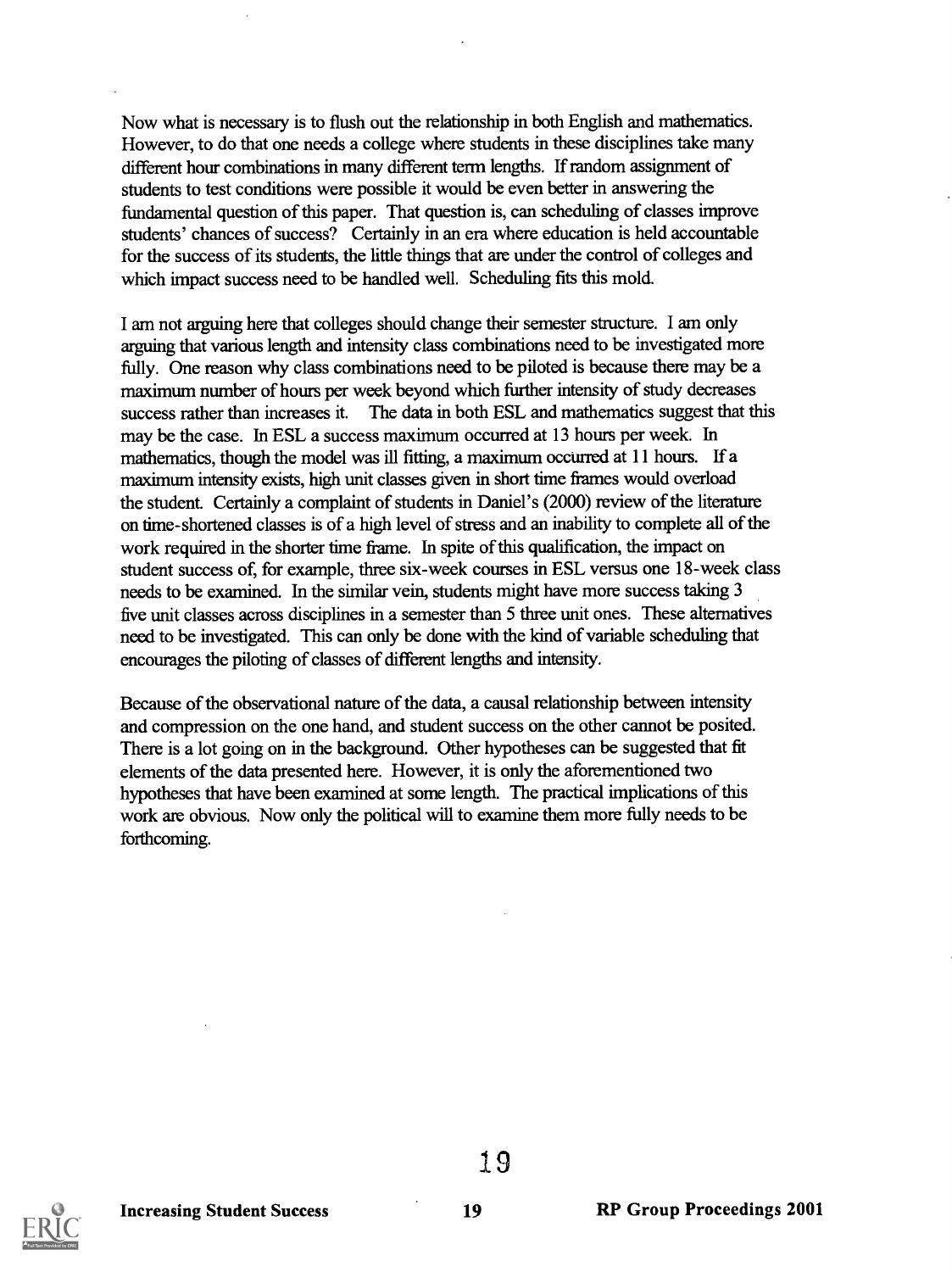Now what is necessary is to flush out the relationship in both English and mathematics. However, to do that one needs a college where students in these disciplines take many different hour combinations in many different term lengths. If random assignment of students to test conditions were possible it would be even better in answering the fundamental question of this paper. That question is, can scheduling of classes improve students' chances of success? Certainly in an era where education is held accountable for the success of its students, the little things that are under the control of colleges and which impact success need to be handled well. Scheduling fits this mold.

I am not arguing here that colleges should change their semester structure. I am only arguing that various length and intensity class combinations need to be investigated more fully. One reason why class combinations need to be piloted is because there may be a maximum number of hours per week beyond which further intensity of study decreases success rather than increases it. The data in both ESL and mathematics suggest that this may be the case. In ESL a success maximum occurred at 13 hours per week. In mathematics, though the model was ill fitting, a maximum occurred at 11 hours. If a maximum intensity exists, high unit classes given in short time frames would overload the student. Certainly a complaint of students in Daniel's (2000) review of the literature on time-shortened classes is of a high level of stress and an inability to complete all of the work required in the shorter time frame. In spite of this qualification, the impact on student success of, for example, three six-week courses in ESL versus one 18-week class needs to be examined. In the similar vein, students might have more success taking 3 five unit classes across disciplines in a semester than 5 three unit ones. These alternatives need to be investigated. This can only be done with the kind of variable scheduling that encourages the piloting of classes of different lengths and intensity.

Because of the observational nature of the data, a causal relationship between intensity and compression on the one hand, and student success on the other cannot be posited. There is a lot going on in the background. Other hypotheses can be suggested that fit elements of the data presented here. However, it is only the aforementioned two hypotheses that have been examined at some length. The practical implications of this work are obvious. Now only the political will to examine them more fully needs to be forthcoming.

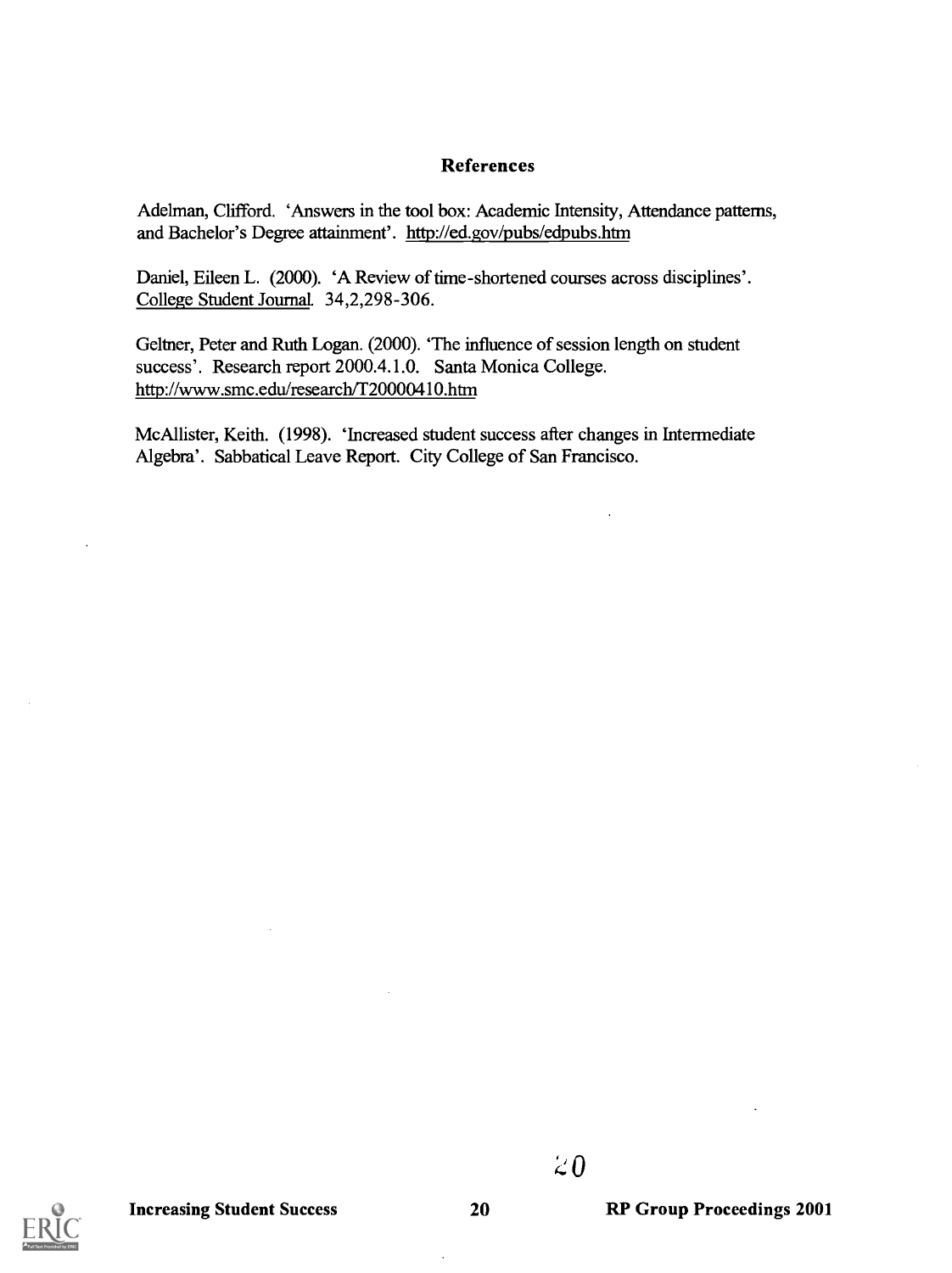#### References

Adelman, Clifford. 'Answers in the tool box: Academic Intensity, Attendance patterns, and Bachelor's Degree attainment'. http://ed.gov/pubs/edpubs.htm

Daniel, Eileen L. (2000). 'A Review of time-shortened courses across disciplines'. College Student JournaL 34,2,298-306.

Geltner, Peter and Ruth Logan. (2000). 'The influence of session length on student success'. Research report 2000.4.1.0. Santa Monica College. http://www.smc.edu/research/T20000410.htm

McAllister, Keith. (1998). 'Increased student success after changes in Intermediate Algebra'. Sabbatical Leave Report. City College of San Francisco.

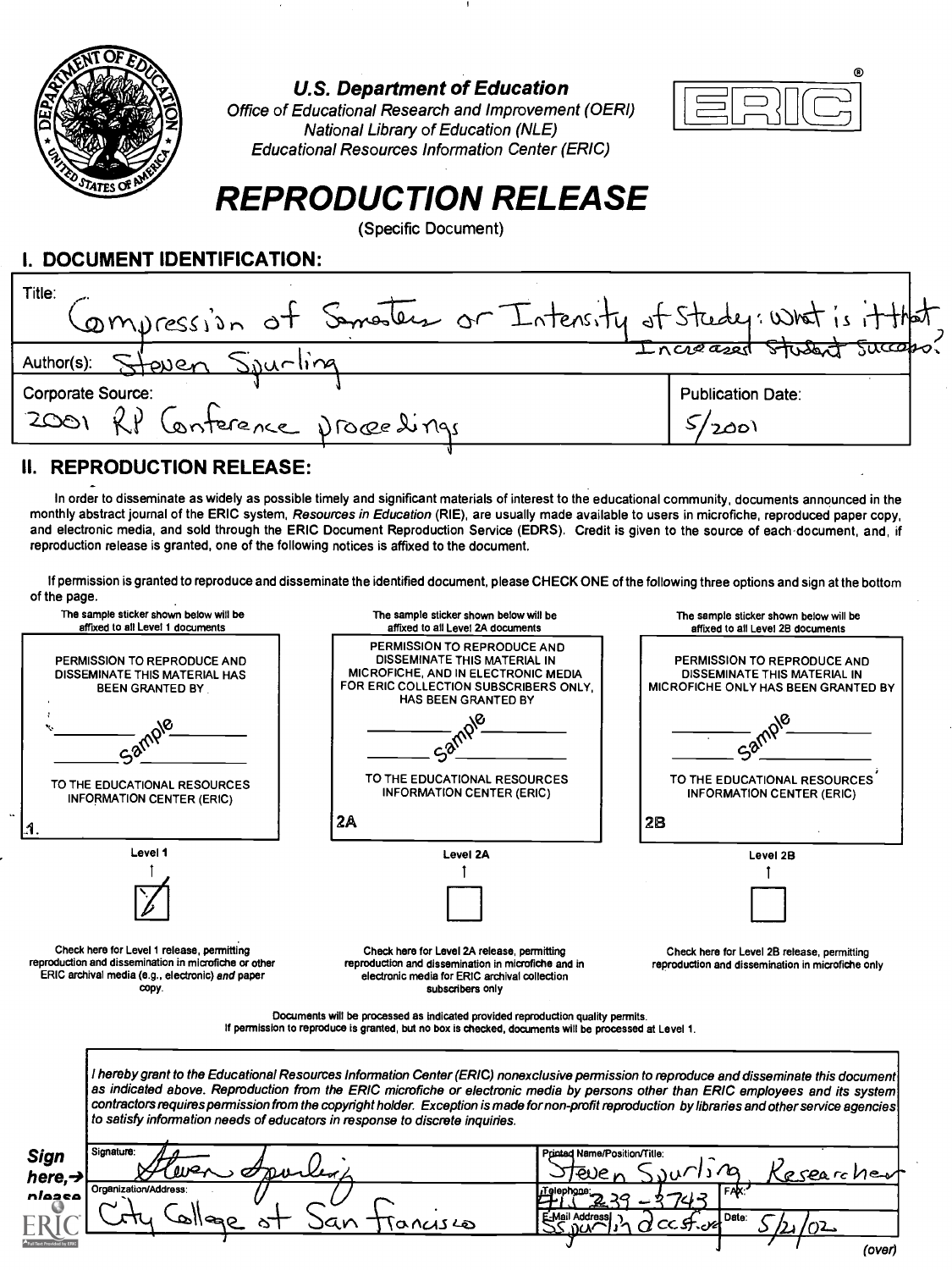

U.S. Department of Education

Office of Educational Research and Improvement (OERI) National Library of Education (NLE) Educational Resources Information Center (ERIC)



# REPRODUCTION RELEASE

(Specific Document)

# I. DOCUMENT IDENTIFICATION:

| I. DOCUMENT IDENTIFICATION:                                              |                                     |  |  |  |  |
|--------------------------------------------------------------------------|-------------------------------------|--|--|--|--|
| Title:<br>Compression of Semester or Intensity of Study: What is it that |                                     |  |  |  |  |
| Steven Sourling<br>Author(s):                                            | Increased Student Successo?         |  |  |  |  |
| Corporate Source:<br>2001 RP Conference processings                      | <b>Publication Date:</b><br>>/ 200\ |  |  |  |  |
|                                                                          |                                     |  |  |  |  |

### II. REPRODUCTION RELEASE:

In order to disseminate as widely as possible timely and significant materials of interest to the educational community, documents announced in the monthly abstract journal of the ERIC system, Resources in Education (RIE), are usually made available to users in microfiche, reproduced paper copy, and electronic media, and sold through the ERIC Document Reproduction Service (EDRS). Credit is given to the source of each-document, and, if reproduction release is granted, one of the following notices is affixed to the document.

If permission is granted to reproduce and disseminate the identified document, please CHECK ONE of the following three options and sign at the bottom of the page.

| The sample sticker shown below will be<br>affixed to all Level 1 documents                                                                                       | The sample sticker shown below will be<br>affixed to all Level 2A documents                                                                                                                                                                                                                                                                                                                                                                                                                                       | The sample sticker shown below will be<br>affixed to all Level 2B documents                        |
|------------------------------------------------------------------------------------------------------------------------------------------------------------------|-------------------------------------------------------------------------------------------------------------------------------------------------------------------------------------------------------------------------------------------------------------------------------------------------------------------------------------------------------------------------------------------------------------------------------------------------------------------------------------------------------------------|----------------------------------------------------------------------------------------------------|
| PERMISSION TO REPRODUCE AND<br>DISSEMINATE THIS MATERIAL HAS<br>BEEN GRANTED BY                                                                                  | PERMISSION TO REPRODUCE AND<br>DISSEMINATE THIS MATERIAL IN<br>MICROFICHE, AND IN ELECTRONIC MEDIA<br>FOR ERIC COLLECTION SUBSCRIBERS ONLY.<br>HAS BEEN GRANTED BY                                                                                                                                                                                                                                                                                                                                                | PERMISSION TO REPRODUCE AND<br>DISSEMINATE THIS MATERIAL IN<br>MICROFICHE ONLY HAS BEEN GRANTED BY |
|                                                                                                                                                                  |                                                                                                                                                                                                                                                                                                                                                                                                                                                                                                                   |                                                                                                    |
| TO THE EDUCATIONAL RESOURCES<br><b>INFORMATION CENTER (ERIC)</b>                                                                                                 | TO THE EDUCATIONAL RESOURCES<br><b>INFORMATION CENTER (ERIC)</b>                                                                                                                                                                                                                                                                                                                                                                                                                                                  | TO THE EDUCATIONAL RESOURCES<br><b>INFORMATION CENTER (ERIC)</b>                                   |
|                                                                                                                                                                  | 2A                                                                                                                                                                                                                                                                                                                                                                                                                                                                                                                | 2B                                                                                                 |
| Level 1                                                                                                                                                          | Level 2A                                                                                                                                                                                                                                                                                                                                                                                                                                                                                                          | Level 2B                                                                                           |
|                                                                                                                                                                  |                                                                                                                                                                                                                                                                                                                                                                                                                                                                                                                   |                                                                                                    |
| Check here for Level 1 release, permitting<br>reproduction and dissemination in microfiche or other<br>ERIC archival media (e.g., electronic) and paper<br>CODY. | Check here for Level 2A release, permitting<br>reproduction and dissemination in microfiche and in<br>electronic media for ERIC archival collection<br>subscribers only                                                                                                                                                                                                                                                                                                                                           | Check here for Level 2B release, permitting<br>reproduction and dissemination in microfiche only   |
|                                                                                                                                                                  | Documents will be processed as indicated provided reproduction quality permits.<br>If permission to reproduce is granted, but no box is checked, documents will be processed at Level 1.                                                                                                                                                                                                                                                                                                                          |                                                                                                    |
|                                                                                                                                                                  | I hereby grant to the Educational Resources Information Center (ERIC) nonexclusive permission to reproduce and disseminate this document<br>as indicated above. Reproduction from the ERIC microfiche or electronic media by persons other than ERIC employees and its system<br>contractors requires permission from the copyright holder. Exception is made for non-profit reproduction by libraries and other service agencies<br>to satisfy information needs of educators in response to discrete inquiries. |                                                                                                    |
| Signature:<br><b>Sign</b><br>here, $\rightarrow$                                                                                                                 | Printed Name/Position/Title:                                                                                                                                                                                                                                                                                                                                                                                                                                                                                      | sesearche                                                                                          |
| Organization/Address:<br>nlease                                                                                                                                  | E-Mail Address<br>۱۵۰ دراغ دی                                                                                                                                                                                                                                                                                                                                                                                                                                                                                     | Date:                                                                                              |
|                                                                                                                                                                  |                                                                                                                                                                                                                                                                                                                                                                                                                                                                                                                   | (over)                                                                                             |